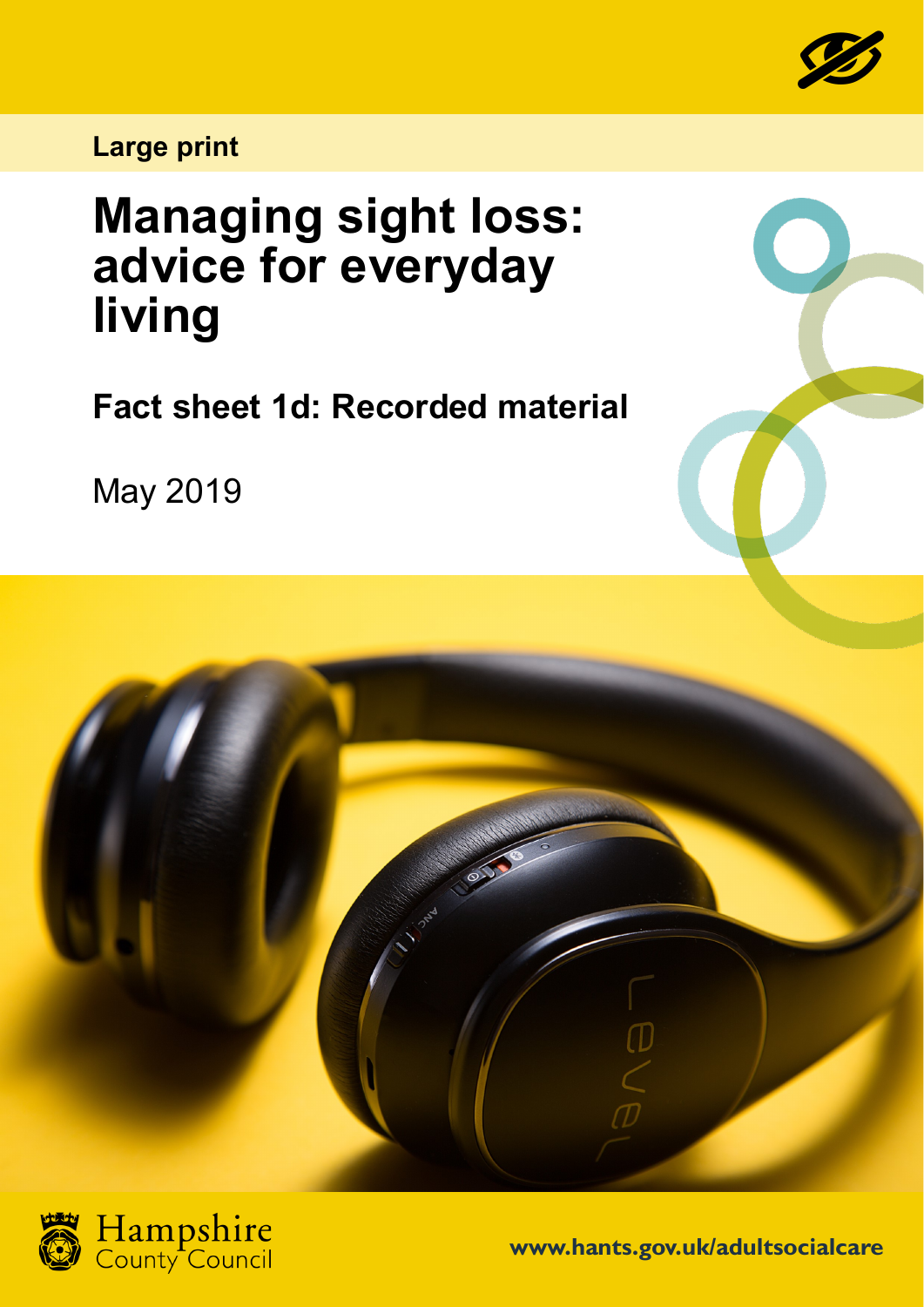

**Large print**

## **Managing sight loss: advice for everyday living**

**Fact sheet 1d: Recorded material**

May 2019





**www.hants.gov.uk/adultsocialcare**